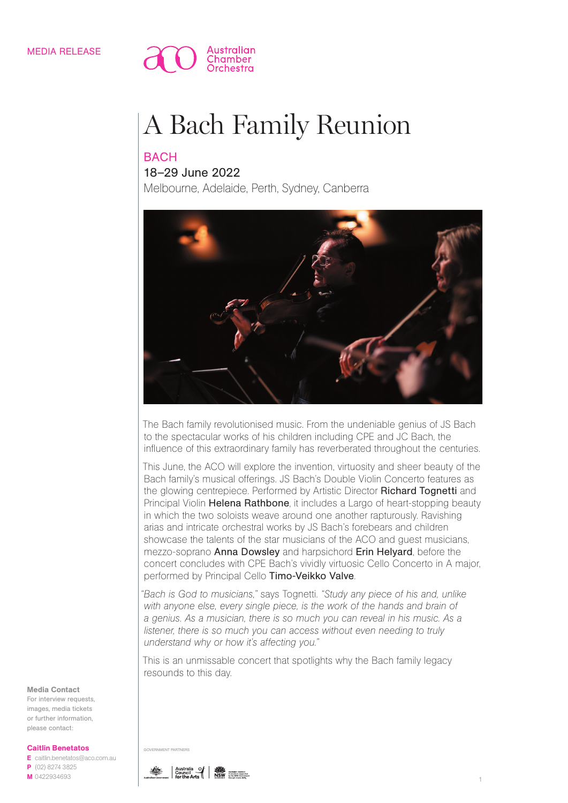

# A Bach Family Reunion

## **BACH**

### 18–29 June 2022

Melbourne, Adelaide, Perth, Sydney, Canberra



The Bach family revolutionised music. From the undeniable genius of JS Bach to the spectacular works of his children including CPE and JC Bach, the influence of this extraordinary family has reverberated throughout the centuries.

This June, the ACO will explore the invention, virtuosity and sheer beauty of the Bach family's musical offerings. JS Bach's Double Violin Concerto features as the glowing centrepiece. Performed by Artistic Director Richard Tognetti and Principal Violin Helena Rathbone, it includes a Largo of heart-stopping beauty in which the two soloists weave around one another rapturously. Ravishing arias and intricate orchestral works by JS Bach's forebears and children showcase the talents of the star musicians of the ACO and guest musicians, mezzo-soprano Anna Dowsley and harpsichord Erin Helyard, before the concert concludes with CPE Bach's vividly virtuosic Cello Concerto in A major, performed by Principal Cello Timo-Veikko Valve.

*"Bach is God to musicians,"* says Tognetti. *"Study any piece of his and, unlike*  with anyone else, every single piece, is the work of the hands and brain of *a genius. As a musician, there is so much you can reveal in his music. As a listener, there is so much you can access without even needing to truly understand why or how it's affecting you."*

This is an unmissable concert that spotlights why the Bach family legacy resounds to this day.



For interview requests, images, media tickets or further information, please contact:

#### Caitlin Benetatos

E caitlin.benetatos@aco.com.au P (02) 8274 3825 M 0422934693



GOVERNMENT PARTNE